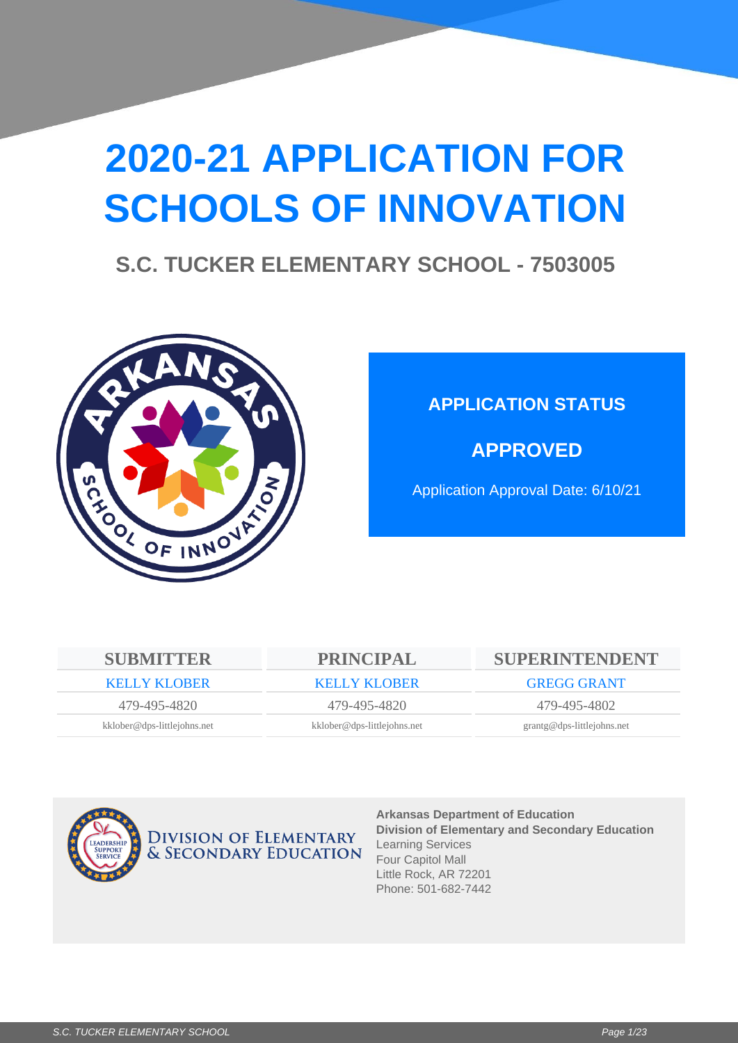# **2020-21 APPLICATION FOR SCHOOLS OF INNOVATION**

### **S.C. TUCKER ELEMENTARY SCHOOL - 7503005**



### **APPLICATION STATUS**

**APPROVED**

Application Approval Date: 6/10/21

| <b>SUBMITTER</b>            | <b>PRINCIPAL</b>            | SUPERINTENDENT               |
|-----------------------------|-----------------------------|------------------------------|
| <b>KELLY KLOBER</b>         | <b>KELLY KLOBER</b>         | <b>GREGG GRANT</b>           |
| 479-495-4820                | 479-495-4820                | 479-495-4802                 |
| kklober@dps-littlejohns.net | kklober@dps-littlejohns.net | $grantg@dps-littlejohns.net$ |
|                             |                             |                              |



**DIVISION OF ELEMENTARY & SECONDARY EDUCATION**  **Arkansas Department of Education Division of Elementary and Secondary Education** Learning Services Four Capitol Mall Little Rock, AR 72201 Phone: 501-682-7442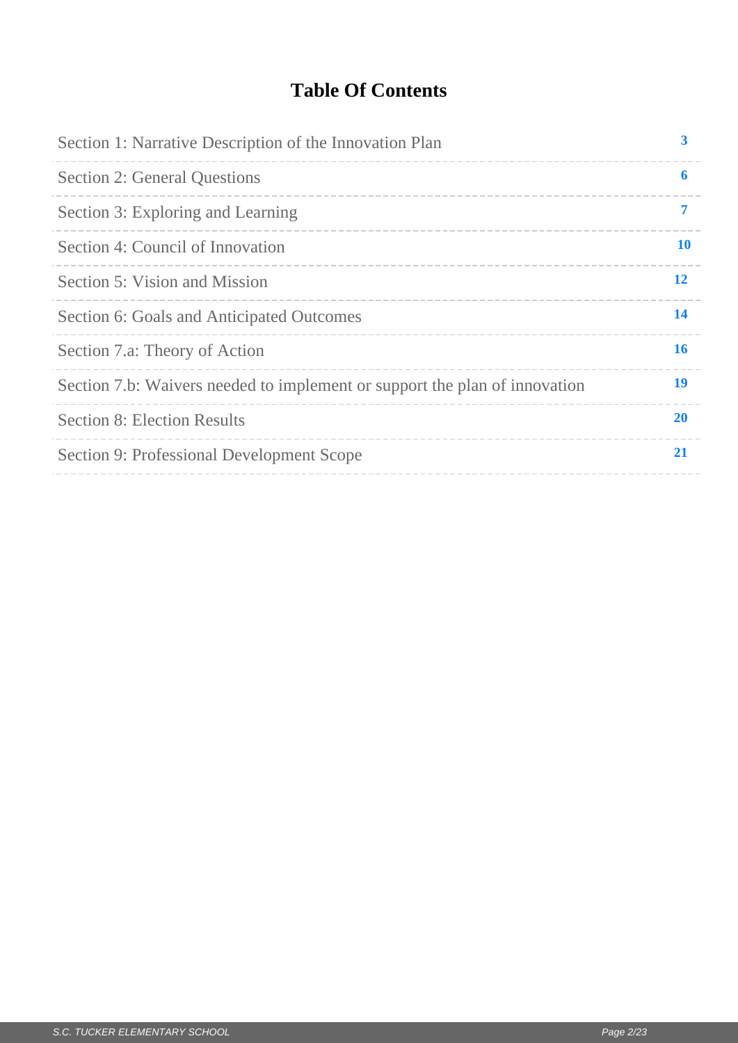### **Table Of Contents**

| Section 1: Narrative Description of the Innovation Plan                    | 3         |
|----------------------------------------------------------------------------|-----------|
| <b>Section 2: General Questions</b>                                        | 6         |
| Section 3: Exploring and Learning                                          | 7         |
| Section 4: Council of Innovation                                           | <b>10</b> |
| Section 5: Vision and Mission                                              | 12        |
| Section 6: Goals and Anticipated Outcomes                                  | 14        |
| Section 7.a: Theory of Action                                              | 16        |
| Section 7.b: Waivers needed to implement or support the plan of innovation | 19        |
| <b>Section 8: Election Results</b>                                         | <b>20</b> |
| Section 9: Professional Development Scope                                  | 21        |
|                                                                            |           |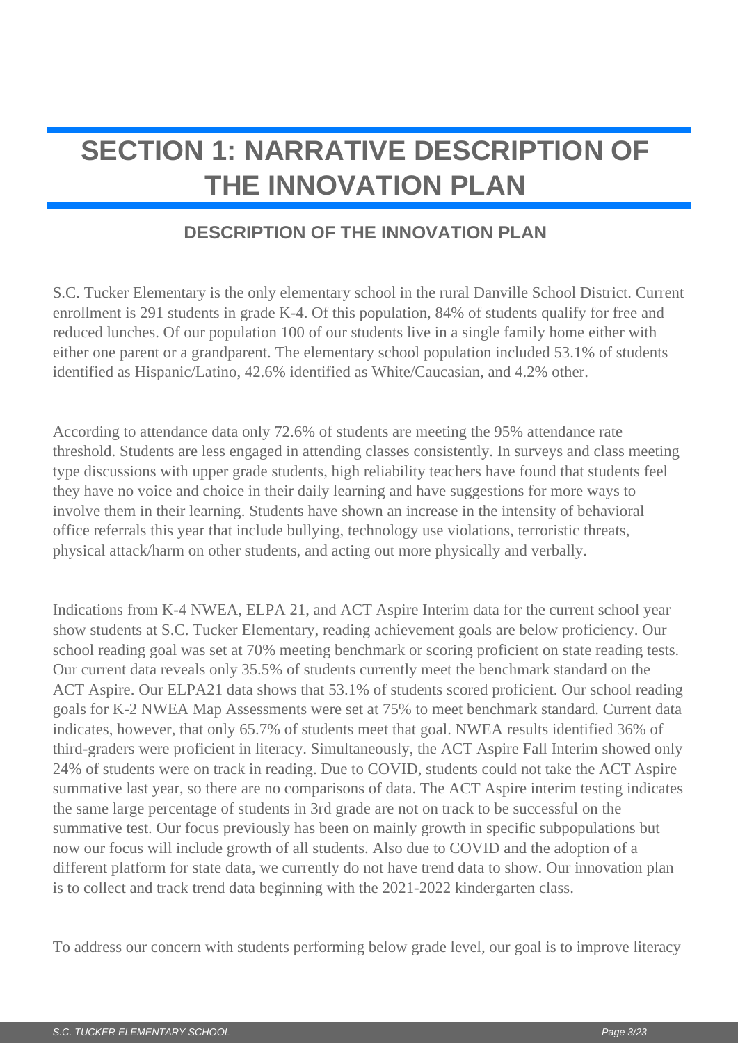## <span id="page-2-0"></span>**SECTION 1: NARRATIVE DESCRIPTION OF THE INNOVATION PLAN**

### **DESCRIPTION OF THE INNOVATION PLAN**

S.C. Tucker Elementary is the only elementary school in the rural Danville School District. Current enrollment is 291 students in grade K-4. Of this population, 84% of students qualify for free and reduced lunches. Of our population 100 of our students live in a single family home either with either one parent or a grandparent. The elementary school population included 53.1% of students identified as Hispanic/Latino, 42.6% identified as White/Caucasian, and 4.2% other.

According to attendance data only 72.6% of students are meeting the 95% attendance rate threshold. Students are less engaged in attending classes consistently. In surveys and class meeting type discussions with upper grade students, high reliability teachers have found that students feel they have no voice and choice in their daily learning and have suggestions for more ways to involve them in their learning. Students have shown an increase in the intensity of behavioral office referrals this year that include bullying, technology use violations, terroristic threats, physical attack/harm on other students, and acting out more physically and verbally.

Indications from K-4 NWEA, ELPA 21, and ACT Aspire Interim data for the current school year show students at S.C. Tucker Elementary, reading achievement goals are below proficiency. Our school reading goal was set at 70% meeting benchmark or scoring proficient on state reading tests. Our current data reveals only 35.5% of students currently meet the benchmark standard on the ACT Aspire. Our ELPA21 data shows that 53.1% of students scored proficient. Our school reading goals for K-2 NWEA Map Assessments were set at 75% to meet benchmark standard. Current data indicates, however, that only 65.7% of students meet that goal. NWEA results identified 36% of third-graders were proficient in literacy. Simultaneously, the ACT Aspire Fall Interim showed only 24% of students were on track in reading. Due to COVID, students could not take the ACT Aspire summative last year, so there are no comparisons of data. The ACT Aspire interim testing indicates the same large percentage of students in 3rd grade are not on track to be successful on the summative test. Our focus previously has been on mainly growth in specific subpopulations but now our focus will include growth of all students. Also due to COVID and the adoption of a different platform for state data, we currently do not have trend data to show. Our innovation plan is to collect and track trend data beginning with the 2021-2022 kindergarten class.

To address our concern with students performing below grade level, our goal is to improve literacy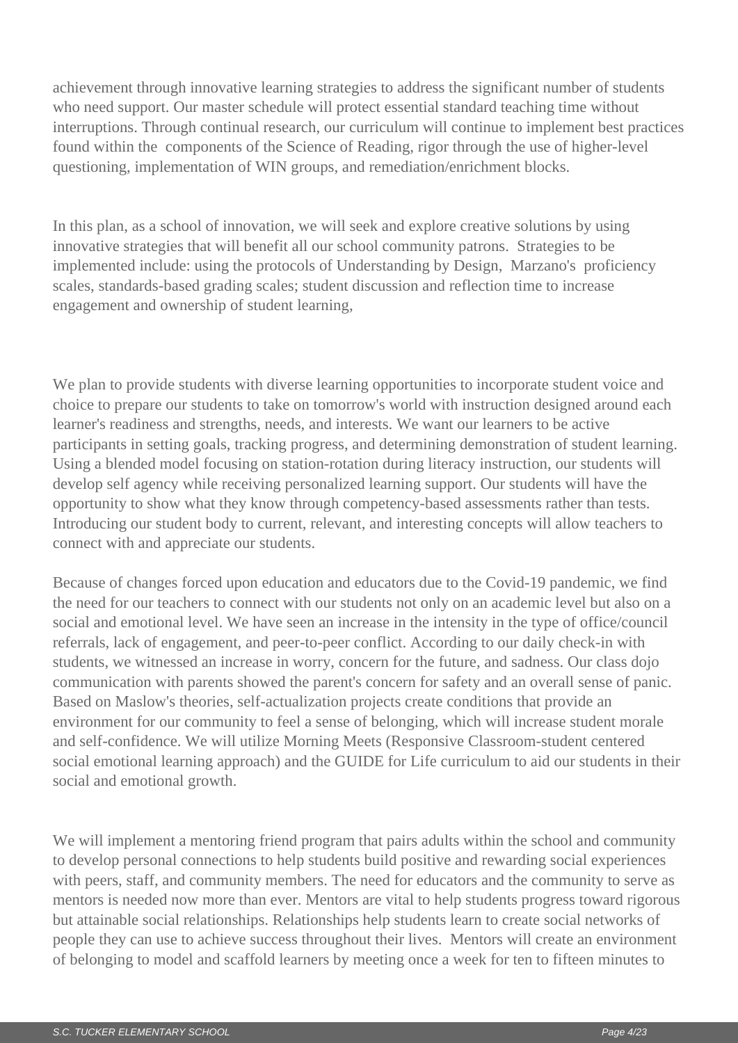achievement through innovative learning strategies to address the significant number of students who need support. Our master schedule will protect essential standard teaching time without interruptions. Through continual research, our curriculum will continue to implement best practices found within the components of the Science of Reading, rigor through the use of higher-level questioning, implementation of WIN groups, and remediation/enrichment blocks.

In this plan, as a school of innovation, we will seek and explore creative solutions by using innovative strategies that will benefit all our school community patrons. Strategies to be implemented include: using the protocols of Understanding by Design, Marzano's proficiency scales, standards-based grading scales; student discussion and reflection time to increase engagement and ownership of student learning,

We plan to provide students with diverse learning opportunities to incorporate student voice and choice to prepare our students to take on tomorrow's world with instruction designed around each learner's readiness and strengths, needs, and interests. We want our learners to be active participants in setting goals, tracking progress, and determining demonstration of student learning. Using a blended model focusing on station-rotation during literacy instruction, our students will develop self agency while receiving personalized learning support. Our students will have the opportunity to show what they know through competency-based assessments rather than tests. Introducing our student body to current, relevant, and interesting concepts will allow teachers to connect with and appreciate our students.

Because of changes forced upon education and educators due to the Covid-19 pandemic, we find the need for our teachers to connect with our students not only on an academic level but also on a social and emotional level. We have seen an increase in the intensity in the type of office/council referrals, lack of engagement, and peer-to-peer conflict. According to our daily check-in with students, we witnessed an increase in worry, concern for the future, and sadness. Our class dojo communication with parents showed the parent's concern for safety and an overall sense of panic. Based on Maslow's theories, self-actualization projects create conditions that provide an environment for our community to feel a sense of belonging, which will increase student morale and self-confidence. We will utilize Morning Meets (Responsive Classroom-student centered social emotional learning approach) and the GUIDE for Life curriculum to aid our students in their social and emotional growth.

We will implement a mentoring friend program that pairs adults within the school and community to develop personal connections to help students build positive and rewarding social experiences with peers, staff, and community members. The need for educators and the community to serve as mentors is needed now more than ever. Mentors are vital to help students progress toward rigorous but attainable social relationships. Relationships help students learn to create social networks of people they can use to achieve success throughout their lives. Mentors will create an environment of belonging to model and scaffold learners by meeting once a week for ten to fifteen minutes to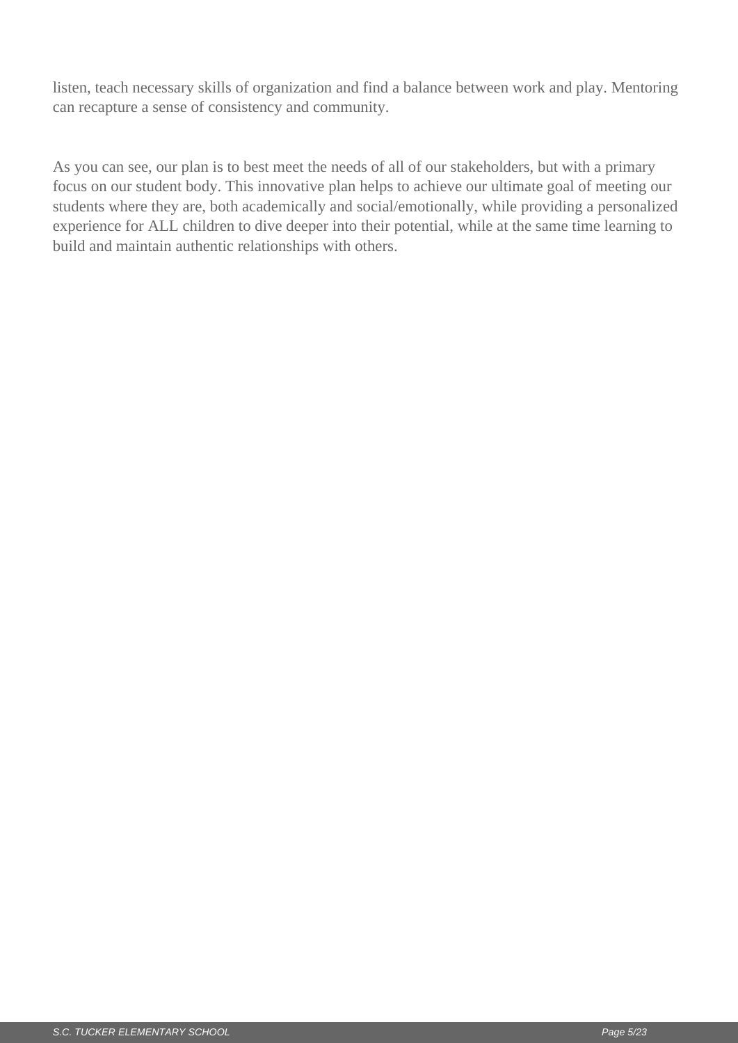listen, teach necessary skills of organization and find a balance between work and play. Mentoring can recapture a sense of consistency and community.

As you can see, our plan is to best meet the needs of all of our stakeholders, but with a primary focus on our student body. This innovative plan helps to achieve our ultimate goal of meeting our students where they are, both academically and social/emotionally, while providing a personalized experience for ALL children to dive deeper into their potential, while at the same time learning to build and maintain authentic relationships with others.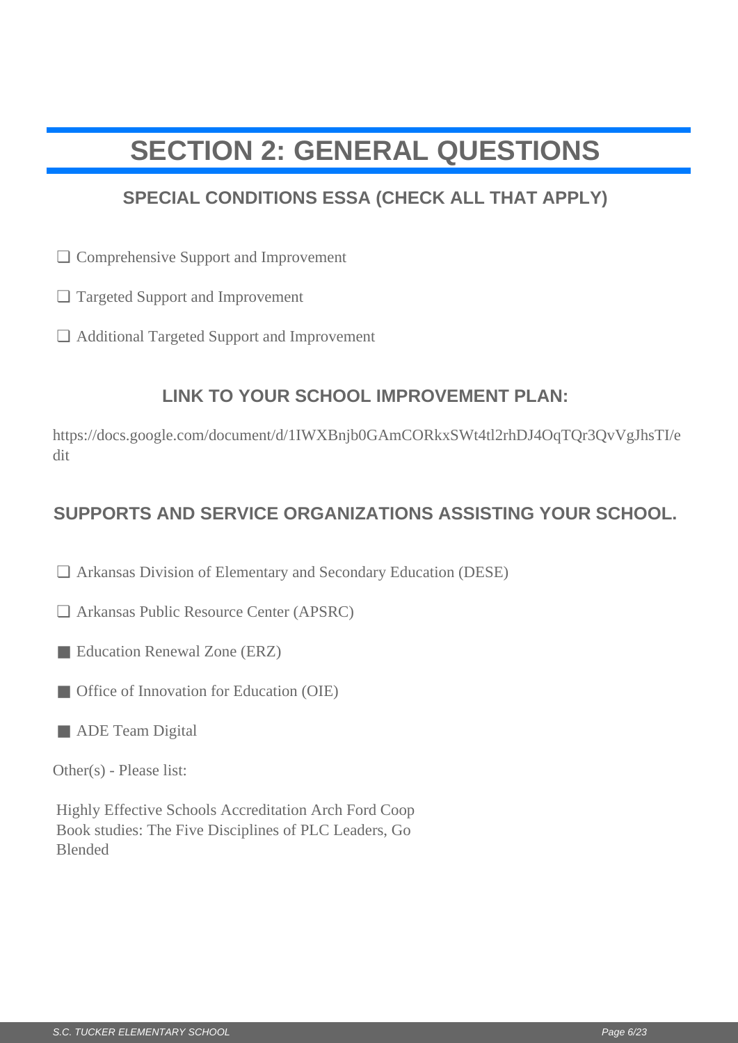## <span id="page-5-0"></span>**SECTION 2: GENERAL QUESTIONS**

### **SPECIAL CONDITIONS ESSA (CHECK ALL THAT APPLY)**

- □ Comprehensive Support and Improvement
- Targeted Support and Improvement ❏
- Additional Targeted Support and Improvement ❏

### **LINK TO YOUR SCHOOL IMPROVEMENT PLAN:**

https://docs.google.com/document/d/1IWXBnjb0GAmCORkxSWt4tl2rhDJ4OqTQr3QvVgJhsTI/e dit  $□$  Comprehensive Support and Improvement<br>  $□$  Additional Targeted Support and Improvement<br>  $□$  Additional Targeted Support and Improvement<br>  $□$  LINK TO YOUR SCHOOL IMPROVEMENT PLAN:<br>  $[https://docs.google.com/document/d/11WXBnjb0GAmCORks5Wtdt2h1DAGqT$ 

#### **SUPPORTS AND SERVICE ORGANIZATIONS ASSISTING YOUR SCHOOL.**

- □ Arkansas Division of Elementary and Secondary Education (DESE)
- Arkansas Public Resource Center (APSRC) ❏
- Education Renewal Zone (ERZ)
- Office of Innovation for Education (OIE)
- ADE Team Digital

Other(s) - Please list:

Highly Effective Schools Accreditation Arch Ford Coop Book studies: The Five Disciplines of PLC Leaders, Go Blended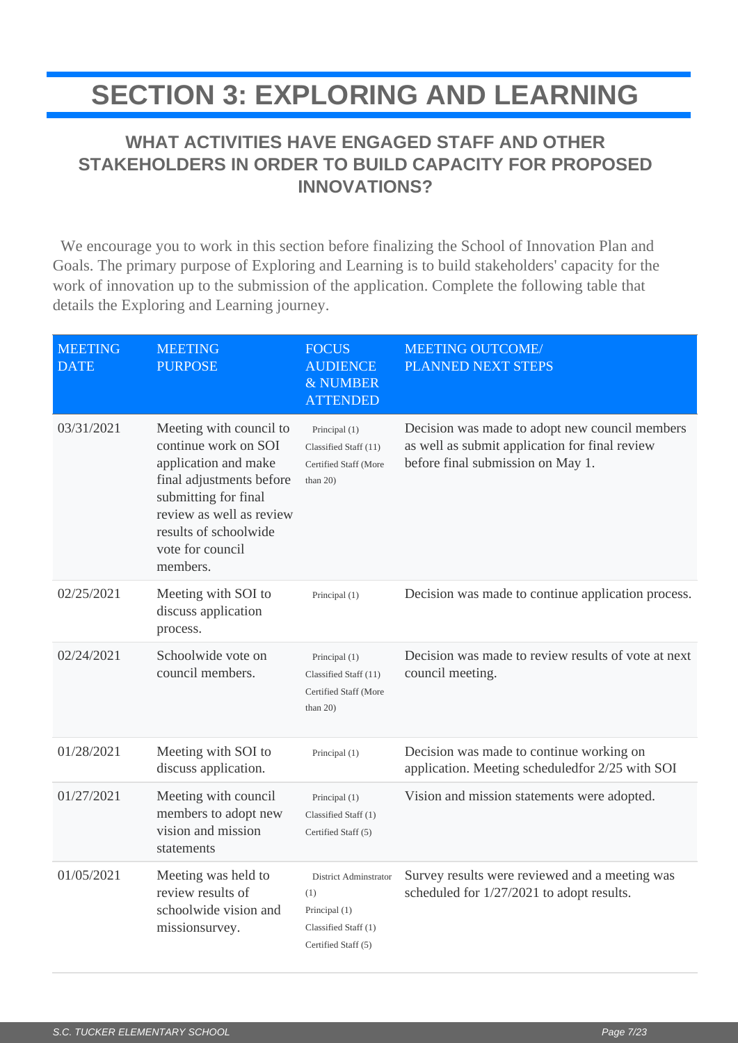### <span id="page-6-0"></span>**SECTION 3: EXPLORING AND LEARNING**

### **WHAT ACTIVITIES HAVE ENGAGED STAFF AND OTHER STAKEHOLDERS IN ORDER TO BUILD CAPACITY FOR PROPOSED INNOVATIONS?**

 We encourage you to work in this section before finalizing the School of Innovation Plan and Goals. The primary purpose of Exploring and Learning is to build stakeholders' capacity for the work of innovation up to the submission of the application. Complete the following table that details the Exploring and Learning journey.

| <b>MEETING</b><br><b>DATE</b> | <b>MEETING</b><br><b>PURPOSE</b>                                                                                                                                                                                 | <b>FOCUS</b><br><b>AUDIENCE</b><br>& NUMBER<br><b>ATTENDED</b>                               | <b>MEETING OUTCOME/</b><br>PLANNED NEXT STEPS                                                                                         |
|-------------------------------|------------------------------------------------------------------------------------------------------------------------------------------------------------------------------------------------------------------|----------------------------------------------------------------------------------------------|---------------------------------------------------------------------------------------------------------------------------------------|
| 03/31/2021                    | Meeting with council to<br>continue work on SOI<br>application and make<br>final adjustments before<br>submitting for final<br>review as well as review<br>results of schoolwide<br>vote for council<br>members. | Principal (1)<br>Classified Staff (11)<br>Certified Staff (More<br>than $20$ )               | Decision was made to adopt new council members<br>as well as submit application for final review<br>before final submission on May 1. |
| 02/25/2021                    | Meeting with SOI to<br>discuss application<br>process.                                                                                                                                                           | Principal (1)                                                                                | Decision was made to continue application process.                                                                                    |
| 02/24/2021                    | Schoolwide vote on<br>council members.                                                                                                                                                                           | Principal (1)<br>Classified Staff (11)<br>Certified Staff (More<br>than $20$ )               | Decision was made to review results of vote at next<br>council meeting.                                                               |
| 01/28/2021                    | Meeting with SOI to<br>discuss application.                                                                                                                                                                      | Principal (1)                                                                                | Decision was made to continue working on<br>application. Meeting scheduledfor 2/25 with SOI                                           |
| 01/27/2021                    | Meeting with council<br>members to adopt new<br>vision and mission<br>statements                                                                                                                                 | Principal (1)<br>Classified Staff (1)<br>Certified Staff (5)                                 | Vision and mission statements were adopted.                                                                                           |
| 01/05/2021                    | Meeting was held to<br>review results of<br>schoolwide vision and<br>missionsurvey.                                                                                                                              | District Adminstrator<br>(1)<br>Principal (1)<br>Classified Staff (1)<br>Certified Staff (5) | Survey results were reviewed and a meeting was<br>scheduled for 1/27/2021 to adopt results.                                           |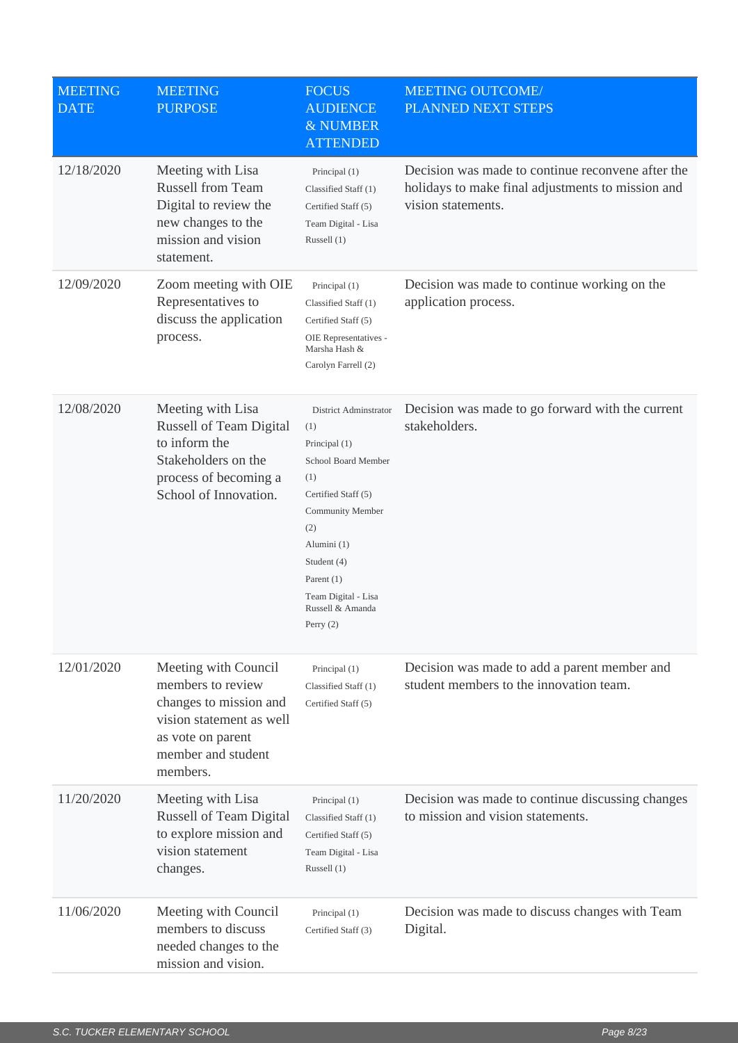| <b>MEETING</b><br><b>DATE</b> | <b>MEETING</b><br><b>PURPOSE</b>                                                                                                                       | <b>FOCUS</b><br><b>AUDIENCE</b><br>& NUMBER<br><b>ATTENDED</b>                                                                                                                                                                        | <b>MEETING OUTCOME/</b><br>PLANNED NEXT STEPS                                                                                |
|-------------------------------|--------------------------------------------------------------------------------------------------------------------------------------------------------|---------------------------------------------------------------------------------------------------------------------------------------------------------------------------------------------------------------------------------------|------------------------------------------------------------------------------------------------------------------------------|
| 12/18/2020                    | Meeting with Lisa<br><b>Russell from Team</b><br>Digital to review the<br>new changes to the<br>mission and vision<br>statement.                       | Principal (1)<br>Classified Staff (1)<br>Certified Staff (5)<br>Team Digital - Lisa<br>Russell $(1)$                                                                                                                                  | Decision was made to continue reconvene after the<br>holidays to make final adjustments to mission and<br>vision statements. |
| 12/09/2020                    | Zoom meeting with OIE<br>Representatives to<br>discuss the application<br>process.                                                                     | Principal (1)<br>Classified Staff (1)<br>Certified Staff (5)<br>OIE Representatives -<br>Marsha Hash &<br>Carolyn Farrell (2)                                                                                                         | Decision was made to continue working on the<br>application process.                                                         |
| 12/08/2020                    | Meeting with Lisa<br><b>Russell of Team Digital</b><br>to inform the<br>Stakeholders on the<br>process of becoming a<br>School of Innovation.          | District Adminstrator<br>(1)<br>Principal (1)<br>School Board Member<br>(1)<br>Certified Staff (5)<br>Community Member<br>(2)<br>Alumini (1)<br>Student (4)<br>Parent $(1)$<br>Team Digital - Lisa<br>Russell & Amanda<br>Perry $(2)$ | Decision was made to go forward with the current<br>stakeholders.                                                            |
| 12/01/2020                    | Meeting with Council<br>members to review<br>changes to mission and<br>vision statement as well<br>as vote on parent<br>member and student<br>members. | Principal (1)<br>Classified Staff (1)<br>Certified Staff (5)                                                                                                                                                                          | Decision was made to add a parent member and<br>student members to the innovation team.                                      |
| 11/20/2020                    | Meeting with Lisa<br>Russell of Team Digital<br>to explore mission and<br>vision statement<br>changes.                                                 | Principal (1)<br>Classified Staff (1)<br>Certified Staff (5)<br>Team Digital - Lisa<br>Russell (1)                                                                                                                                    | Decision was made to continue discussing changes<br>to mission and vision statements.                                        |
| 11/06/2020                    | Meeting with Council<br>members to discuss<br>needed changes to the<br>mission and vision.                                                             | Principal (1)<br>Certified Staff (3)                                                                                                                                                                                                  | Decision was made to discuss changes with Team<br>Digital.                                                                   |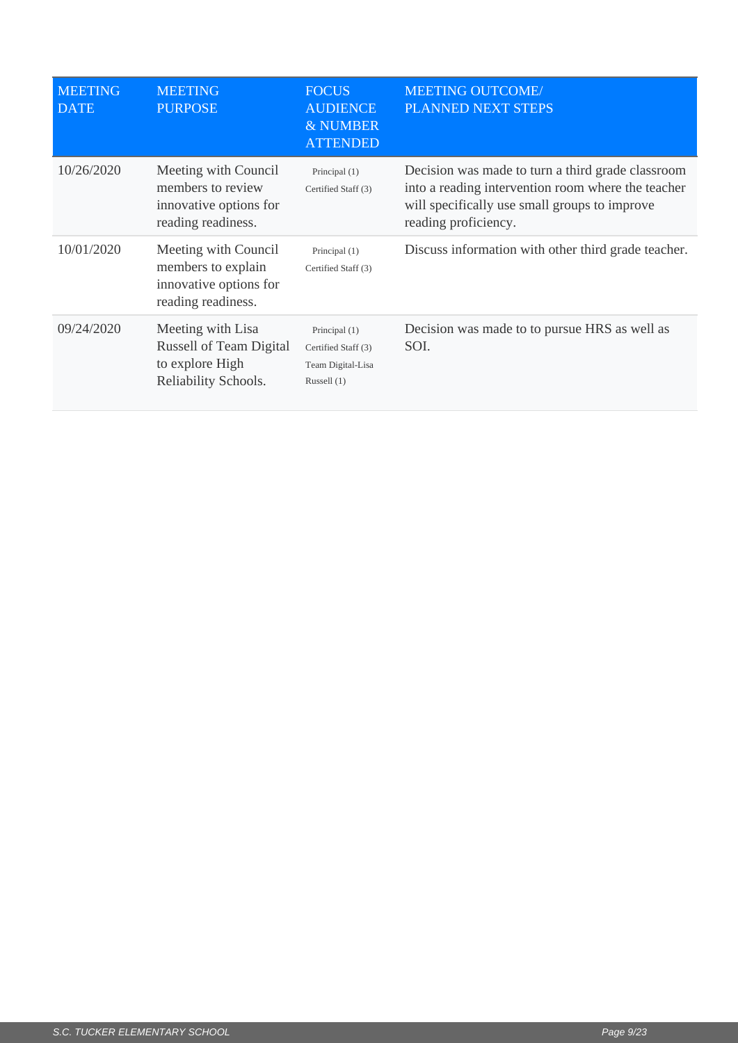| <b>MEETING</b><br><b>DATE</b> | <b>MEETING</b><br><b>PURPOSE</b>                                                               | <b>FOCUS</b><br><b>AUDIENCE</b><br>& NUMBER<br><b>ATTENDED</b>           | <b>MEETING OUTCOME/</b><br>PLANNED NEXT STEPS                                                                                                                                    |
|-------------------------------|------------------------------------------------------------------------------------------------|--------------------------------------------------------------------------|----------------------------------------------------------------------------------------------------------------------------------------------------------------------------------|
| 10/26/2020                    | Meeting with Council<br>members to review<br>innovative options for<br>reading readiness.      | Principal (1)<br>Certified Staff (3)                                     | Decision was made to turn a third grade classroom<br>into a reading intervention room where the teacher<br>will specifically use small groups to improve<br>reading proficiency. |
| 10/01/2020                    | Meeting with Council<br>members to explain<br>innovative options for<br>reading readiness.     | Principal (1)<br>Certified Staff (3)                                     | Discuss information with other third grade teacher.                                                                                                                              |
| 09/24/2020                    | Meeting with Lisa<br><b>Russell of Team Digital</b><br>to explore High<br>Reliability Schools. | Principal (1)<br>Certified Staff (3)<br>Team Digital-Lisa<br>Russell (1) | Decision was made to to pursue HRS as well as<br>SOI.                                                                                                                            |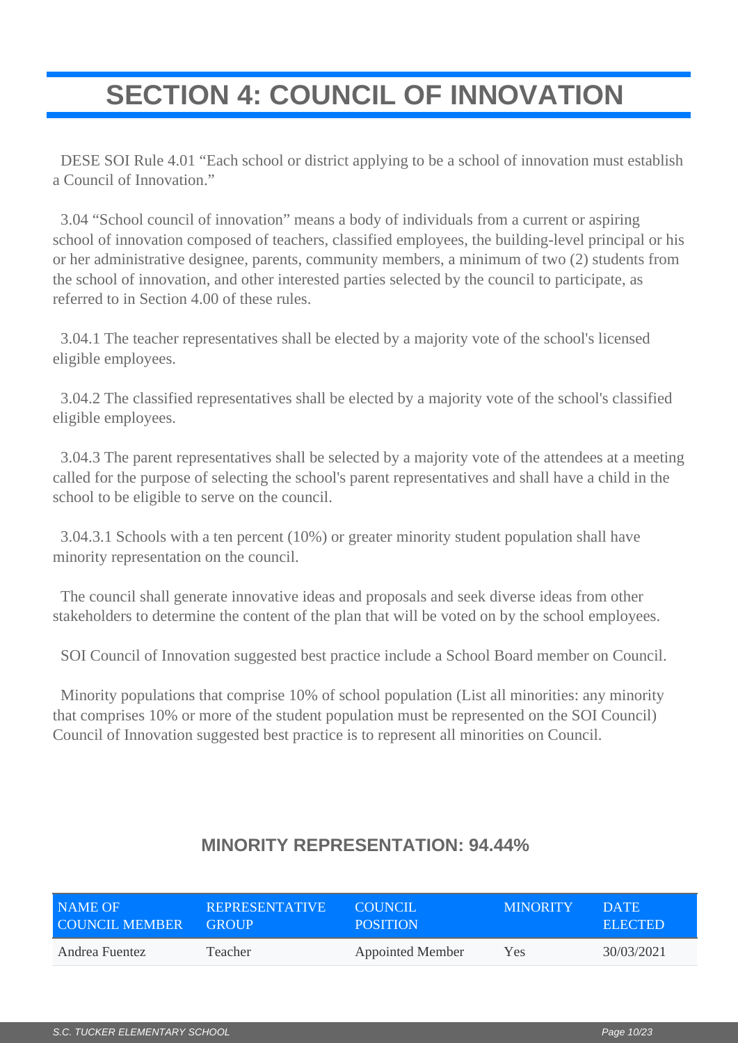## <span id="page-9-0"></span>**SECTION 4: COUNCIL OF INNOVATION**

 DESE SOI Rule 4.01 "Each school or district applying to be a school of innovation must establish a Council of Innovation."

 3.04 "School council of innovation" means a body of individuals from a current or aspiring school of innovation composed of teachers, classified employees, the building-level principal or his or her administrative designee, parents, community members, a minimum of two (2) students from the school of innovation, and other interested parties selected by the council to participate, as referred to in Section 4.00 of these rules.

 3.04.1 The teacher representatives shall be elected by a majority vote of the school's licensed eligible employees.

 3.04.2 The classified representatives shall be elected by a majority vote of the school's classified eligible employees.

 3.04.3 The parent representatives shall be selected by a majority vote of the attendees at a meeting called for the purpose of selecting the school's parent representatives and shall have a child in the school to be eligible to serve on the council.

 3.04.3.1 Schools with a ten percent (10%) or greater minority student population shall have minority representation on the council.

 The council shall generate innovative ideas and proposals and seek diverse ideas from other stakeholders to determine the content of the plan that will be voted on by the school employees.

SOI Council of Innovation suggested best practice include a School Board member on Council.

 Minority populations that comprise 10% of school population (List all minorities: any minority that comprises 10% or more of the student population must be represented on the SOI Council) Council of Innovation suggested best practice is to represent all minorities on Council.

| NAME OF               | <b>REPRESENTATIVE</b> | COUNCIL.                | <b>MINORITY</b> | <b>DATE</b>    |
|-----------------------|-----------------------|-------------------------|-----------------|----------------|
| <b>COUNCIL MEMBER</b> | <b>GROUP</b>          | <b>POSITION</b>         |                 | <b>ELECTED</b> |
| Andrea Fuentez        | Teacher               | <b>Appointed Member</b> | Yes             | 30/03/2021     |

#### **MINORITY REPRESENTATION: 94.44%**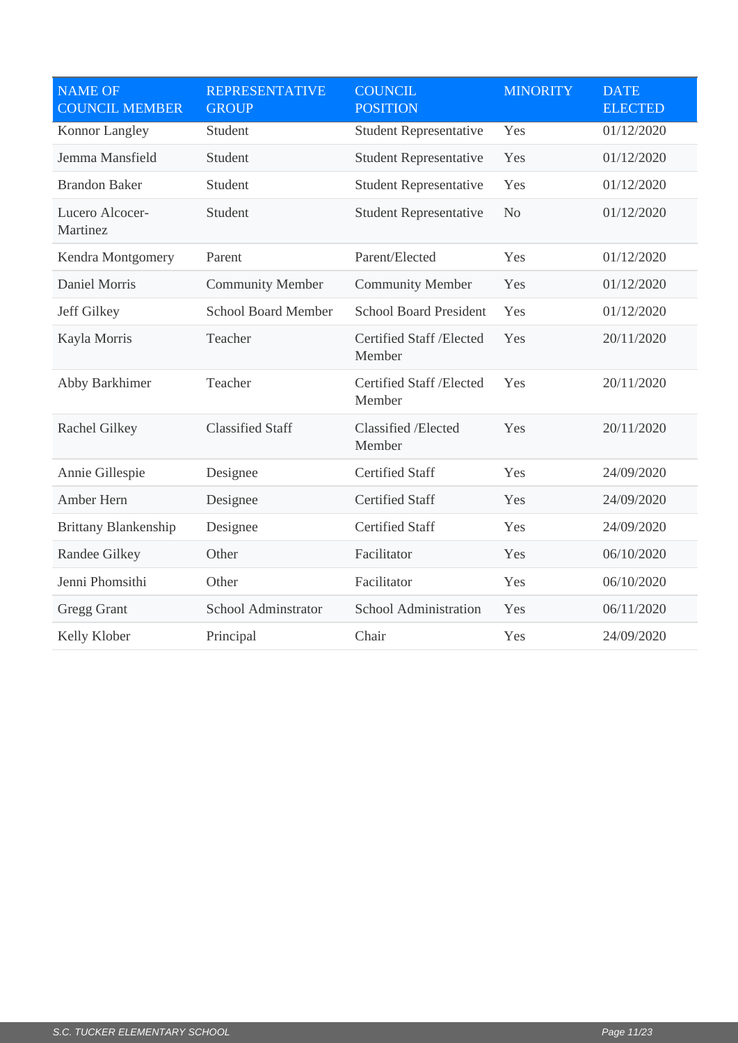| <b>NAME OF</b><br><b>COUNCIL MEMBER</b> | <b>REPRESENTATIVE</b><br><b>GROUP</b> | <b>COUNCIL</b><br><b>POSITION</b>  | <b>MINORITY</b> | <b>DATE</b><br><b>ELECTED</b> |
|-----------------------------------------|---------------------------------------|------------------------------------|-----------------|-------------------------------|
| Konnor Langley                          | Student                               | <b>Student Representative</b>      | Yes             | 01/12/2020                    |
| Jemma Mansfield                         | Student                               | <b>Student Representative</b>      | Yes             | 01/12/2020                    |
| <b>Brandon Baker</b>                    | Student                               | <b>Student Representative</b>      | Yes             | 01/12/2020                    |
| Lucero Alcocer-<br>Martinez             | Student                               | <b>Student Representative</b>      | N <sub>o</sub>  | 01/12/2020                    |
| Kendra Montgomery                       | Parent                                | Parent/Elected                     | Yes             | 01/12/2020                    |
| Daniel Morris                           | <b>Community Member</b>               | <b>Community Member</b>            | Yes             | 01/12/2020                    |
| Jeff Gilkey                             | <b>School Board Member</b>            | <b>School Board President</b>      | Yes             | 01/12/2020                    |
| Kayla Morris                            | Teacher                               | Certified Staff /Elected<br>Member | Yes             | 20/11/2020                    |
| Abby Barkhimer                          | Teacher                               | Certified Staff /Elected<br>Member | Yes             | 20/11/2020                    |
| Rachel Gilkey                           | <b>Classified Staff</b>               | Classified /Elected<br>Member      | Yes             | 20/11/2020                    |
| Annie Gillespie                         | Designee                              | <b>Certified Staff</b>             | Yes             | 24/09/2020                    |
| Amber Hern                              | Designee                              | <b>Certified Staff</b>             | Yes             | 24/09/2020                    |
| <b>Brittany Blankenship</b>             | Designee                              | <b>Certified Staff</b>             | Yes             | 24/09/2020                    |
| Randee Gilkey                           | Other                                 | Facilitator                        | Yes             | 06/10/2020                    |
| Jenni Phomsithi                         | Other                                 | Facilitator                        | Yes             | 06/10/2020                    |
| <b>Gregg Grant</b>                      | School Adminstrator                   | School Administration              | Yes             | 06/11/2020                    |
| Kelly Klober                            | Principal                             | Chair                              | Yes             | 24/09/2020                    |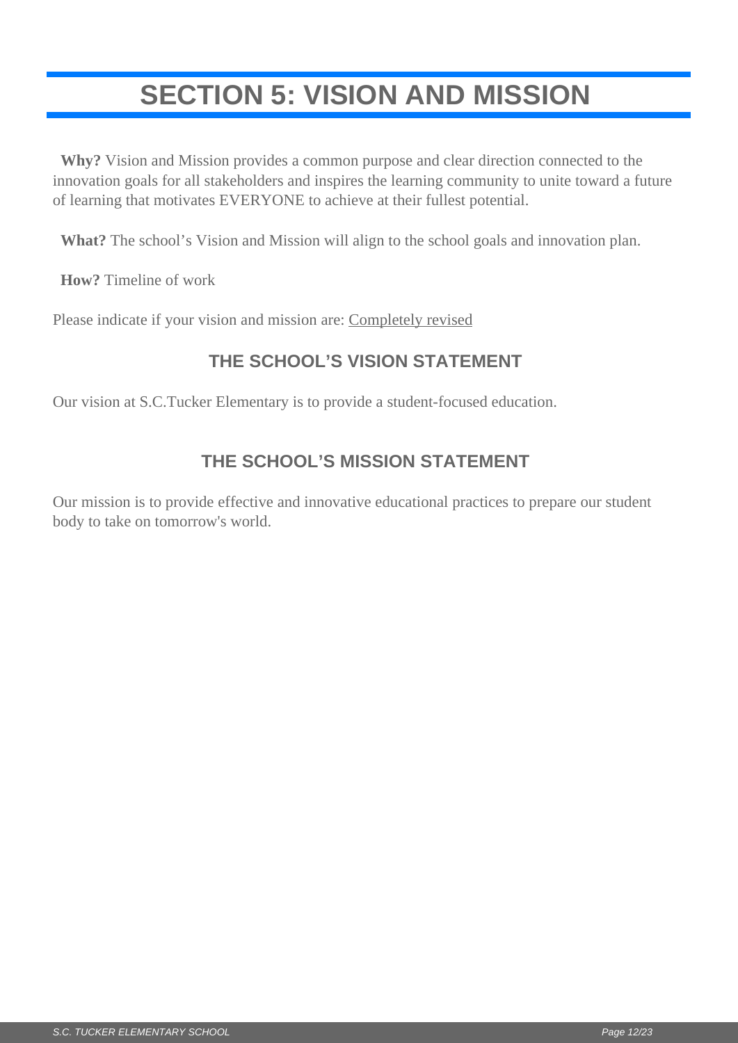## <span id="page-11-0"></span>**SECTION 5: VISION AND MISSION**

 **Why?** Vision and Mission provides a common purpose and clear direction connected to the innovation goals for all stakeholders and inspires the learning community to unite toward a future of learning that motivates EVERYONE to achieve at their fullest potential.

**What?** The school's Vision and Mission will align to the school goals and innovation plan.

**How?** Timeline of work

Please indicate if your vision and mission are: Completely revised

### **THE SCHOOL'S VISION STATEMENT**

Our vision at S.C.Tucker Elementary is to provide a student-focused education.

### **THE SCHOOL'S MISSION STATEMENT**

Our mission is to provide effective and innovative educational practices to prepare our student body to take on tomorrow's world.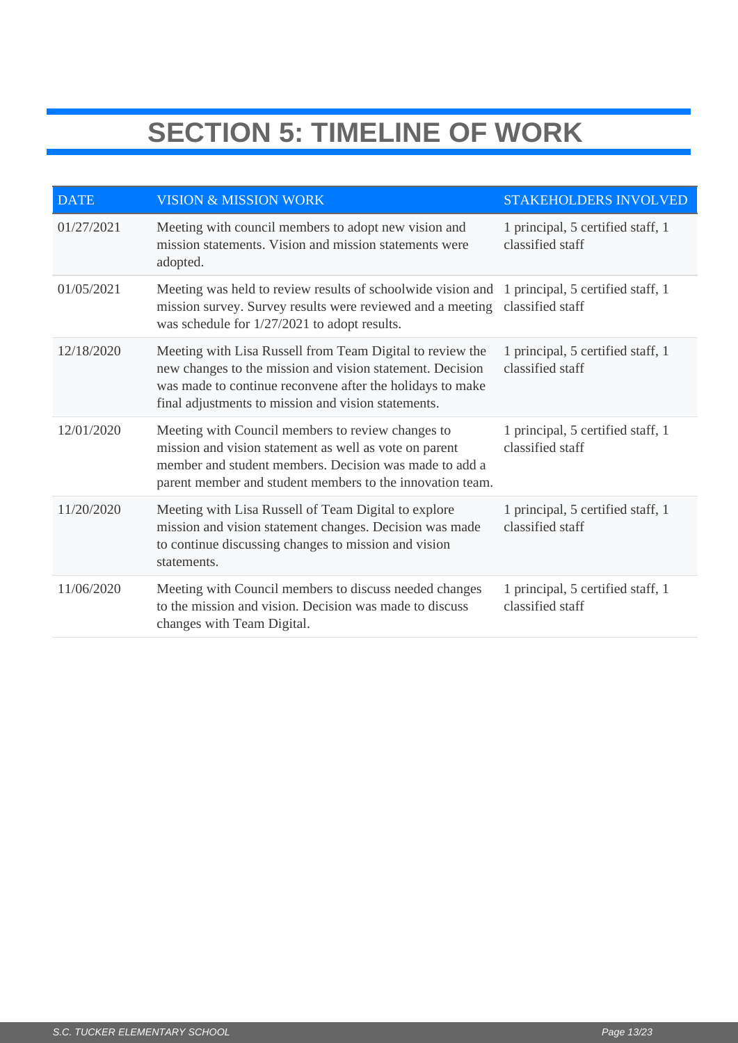## **SECTION 5: TIMELINE OF WORK**

| <b>DATE</b> | <b>VISION &amp; MISSION WORK</b>                                                                                                                                                                                                           | <b>STAKEHOLDERS INVOLVED</b>                          |
|-------------|--------------------------------------------------------------------------------------------------------------------------------------------------------------------------------------------------------------------------------------------|-------------------------------------------------------|
| 01/27/2021  | Meeting with council members to adopt new vision and<br>mission statements. Vision and mission statements were<br>adopted.                                                                                                                 | 1 principal, 5 certified staff, 1<br>classified staff |
| 01/05/2021  | Meeting was held to review results of schoolwide vision and 1 principal, 5 certified staff, 1<br>mission survey. Survey results were reviewed and a meeting<br>was schedule for 1/27/2021 to adopt results.                                | classified staff                                      |
| 12/18/2020  | Meeting with Lisa Russell from Team Digital to review the<br>new changes to the mission and vision statement. Decision<br>was made to continue reconvene after the holidays to make<br>final adjustments to mission and vision statements. | 1 principal, 5 certified staff, 1<br>classified staff |
| 12/01/2020  | Meeting with Council members to review changes to<br>mission and vision statement as well as vote on parent<br>member and student members. Decision was made to add a<br>parent member and student members to the innovation team.         | 1 principal, 5 certified staff, 1<br>classified staff |
| 11/20/2020  | Meeting with Lisa Russell of Team Digital to explore<br>mission and vision statement changes. Decision was made<br>to continue discussing changes to mission and vision<br>statements.                                                     | 1 principal, 5 certified staff, 1<br>classified staff |
| 11/06/2020  | Meeting with Council members to discuss needed changes<br>to the mission and vision. Decision was made to discuss<br>changes with Team Digital.                                                                                            | 1 principal, 5 certified staff, 1<br>classified staff |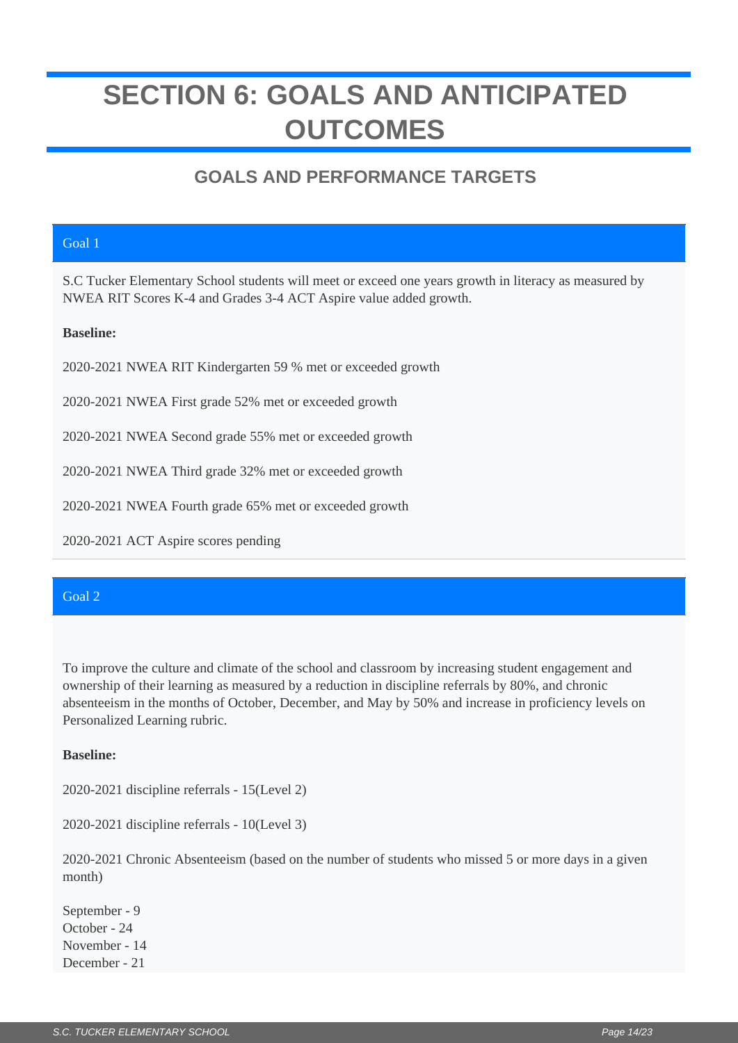## <span id="page-13-0"></span>**SECTION 6: GOALS AND ANTICIPATED OUTCOMES**

### **GOALS AND PERFORMANCE TARGETS**

#### Goal 1

S.C Tucker Elementary School students will meet or exceed one years growth in literacy as measured by NWEA RIT Scores K-4 and Grades 3-4 ACT Aspire value added growth.

#### **Baseline:**

2020-2021 NWEA RIT Kindergarten 59 % met or exceeded growth

2020-2021 NWEA First grade 52% met or exceeded growth

2020-2021 NWEA Second grade 55% met or exceeded growth

2020-2021 NWEA Third grade 32% met or exceeded growth

2020-2021 NWEA Fourth grade 65% met or exceeded growth

2020-2021 ACT Aspire scores pending

#### Goal 2

To improve the culture and climate of the school and classroom by increasing student engagement and ownership of their learning as measured by a reduction in discipline referrals by 80%, and chronic absenteeism in the months of October, December, and May by 50% and increase in proficiency levels on Personalized Learning rubric.

#### **Baseline:**

2020-2021 discipline referrals - 15(Level 2)

2020-2021 discipline referrals - 10(Level 3)

2020-2021 Chronic Absenteeism (based on the number of students who missed 5 or more days in a given month)

September - 9 October - 24 November - 14 December - 21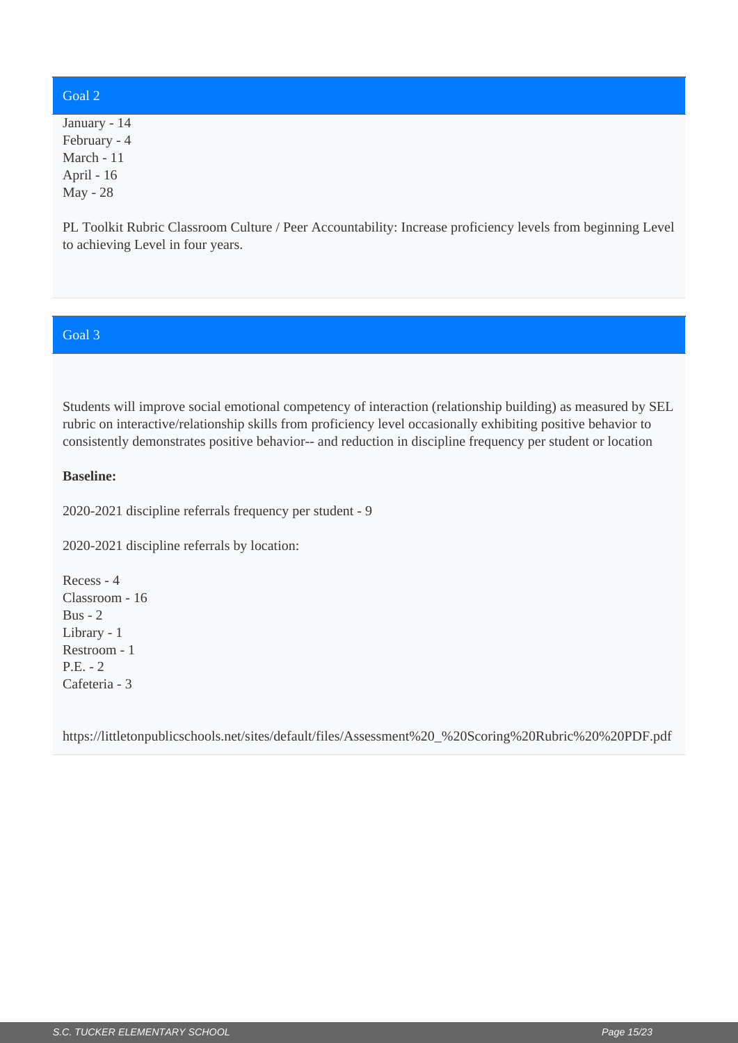#### Goal 2

January - 14 February - 4 March - 11 April - 16 May - 28

PL Toolkit Rubric Classroom Culture / Peer Accountability: Increase proficiency levels from beginning Level to achieving Level in four years.

#### Goal 3

Students will improve social emotional competency of interaction (relationship building) as measured by SEL rubric on interactive/relationship skills from proficiency level occasionally exhibiting positive behavior to consistently demonstrates positive behavior-- and reduction in discipline frequency per student or location

#### **Baseline:**

2020-2021 discipline referrals frequency per student - 9

2020-2021 discipline referrals by location:

Recess - 4 Classroom - 16 Bus - 2 Library - 1 Restroom - 1 P.E. - 2 Cafeteria - 3

https://littletonpublicschools.net/sites/default/files/Assessment%20\_%20Scoring%20Rubric%20%20PDF.pdf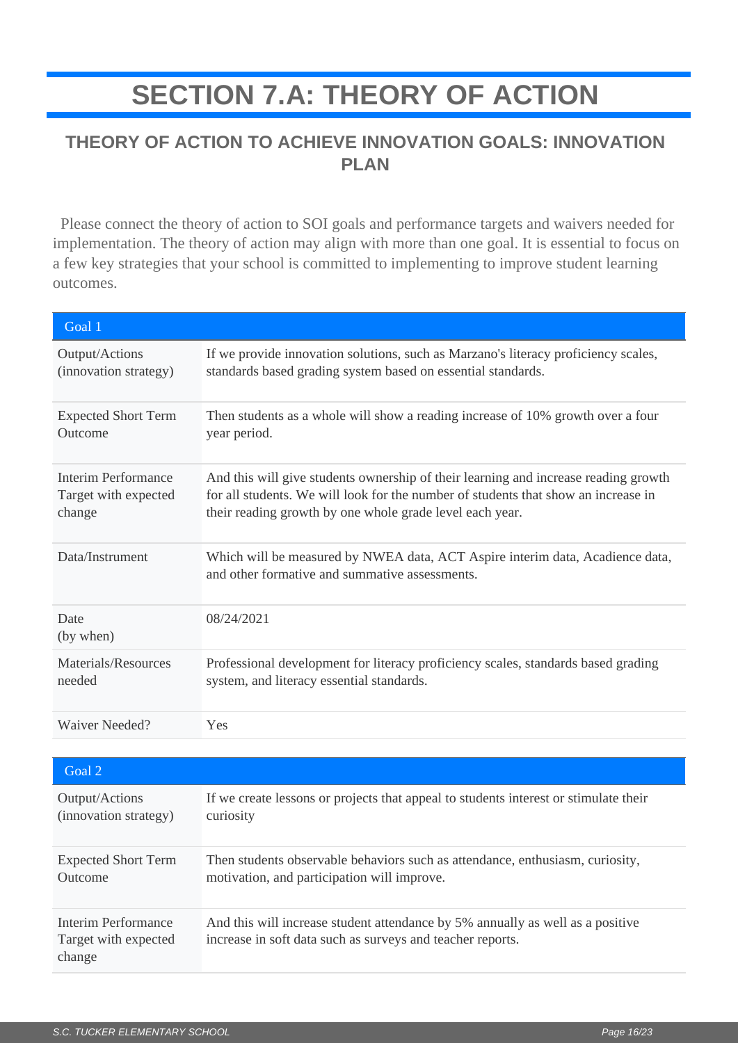## **SECTION 7.A: THEORY OF ACTION**

#### <span id="page-15-0"></span>**THEORY OF ACTION TO ACHIEVE INNOVATION GOALS: INNOVATION PLAN**

 Please connect the theory of action to SOI goals and performance targets and waivers needed for implementation. The theory of action may align with more than one goal. It is essential to focus on a few key strategies that your school is committed to implementing to improve student learning outcomes.

| Goal 1                     |                                                                                                                                 |
|----------------------------|---------------------------------------------------------------------------------------------------------------------------------|
| Output/Actions             | If we provide innovation solutions, such as Marzano's literacy proficiency scales,                                              |
| (innovation strategy)      | standards based grading system based on essential standards.                                                                    |
| <b>Expected Short Term</b> | Then students as a whole will show a reading increase of 10% growth over a four                                                 |
| Outcome                    | year period.                                                                                                                    |
| Interim Performance        | And this will give students ownership of their learning and increase reading growth                                             |
| Target with expected       | for all students. We will look for the number of students that show an increase in                                              |
| change                     | their reading growth by one whole grade level each year.                                                                        |
| Data/Instrument            | Which will be measured by NWEA data, ACT Aspire interim data, Acadience data,<br>and other formative and summative assessments. |
| Date<br>(by when)          | 08/24/2021                                                                                                                      |
| Materials/Resources        | Professional development for literacy proficiency scales, standards based grading                                               |
| needed                     | system, and literacy essential standards.                                                                                       |
| Waiver Needed?             | Yes                                                                                                                             |

| Goal 2                                                |                                                                                                                                              |
|-------------------------------------------------------|----------------------------------------------------------------------------------------------------------------------------------------------|
| Output/Actions                                        | If we create lessons or projects that appeal to students interest or stimulate their                                                         |
| (innovation strategy)                                 | curiosity                                                                                                                                    |
| <b>Expected Short Term</b>                            | Then students observable behaviors such as attendance, enthusiasm, curiosity,                                                                |
| Outcome                                               | motivation, and participation will improve.                                                                                                  |
| Interim Performance<br>Target with expected<br>change | And this will increase student attendance by 5% annually as well as a positive<br>increase in soft data such as surveys and teacher reports. |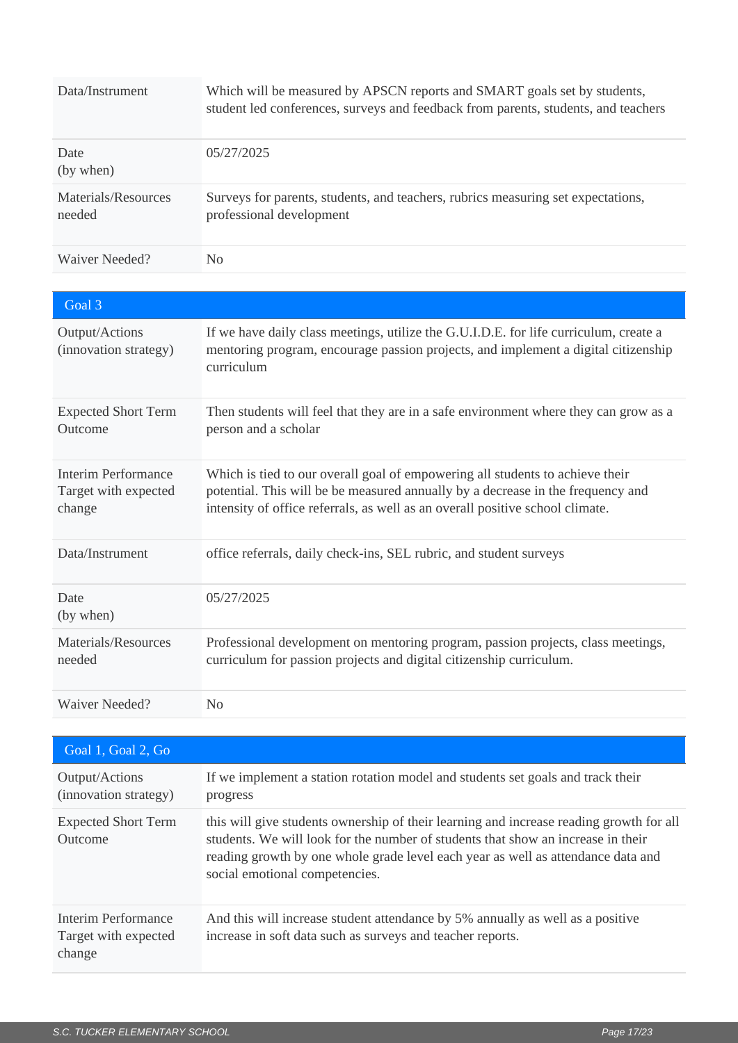| Data/Instrument                                              | Which will be measured by APSCN reports and SMART goals set by students,<br>student led conferences, surveys and feedback from parents, students, and teachers                                                                                    |
|--------------------------------------------------------------|---------------------------------------------------------------------------------------------------------------------------------------------------------------------------------------------------------------------------------------------------|
| Date<br>(by when)                                            | 05/27/2025                                                                                                                                                                                                                                        |
| Materials/Resources<br>needed                                | Surveys for parents, students, and teachers, rubrics measuring set expectations,<br>professional development                                                                                                                                      |
| Waiver Needed?                                               | N <sub>o</sub>                                                                                                                                                                                                                                    |
|                                                              |                                                                                                                                                                                                                                                   |
| Goal 3                                                       |                                                                                                                                                                                                                                                   |
| Output/Actions<br>(innovation strategy)                      | If we have daily class meetings, utilize the G.U.I.D.E. for life curriculum, create a<br>mentoring program, encourage passion projects, and implement a digital citizenship<br>curriculum                                                         |
| <b>Expected Short Term</b><br>Outcome                        | Then students will feel that they are in a safe environment where they can grow as a<br>person and a scholar                                                                                                                                      |
| <b>Interim Performance</b><br>Target with expected<br>change | Which is tied to our overall goal of empowering all students to achieve their<br>potential. This will be be measured annually by a decrease in the frequency and<br>intensity of office referrals, as well as an overall positive school climate. |
| Data/Instrument                                              | office referrals, daily check-ins, SEL rubric, and student surveys                                                                                                                                                                                |
| Date<br>(by when)                                            | 05/27/2025                                                                                                                                                                                                                                        |
| Materials/Resources<br>needed                                | Professional development on mentoring program, passion projects, class meetings,<br>curriculum for passion projects and digital citizenship curriculum.                                                                                           |
| Waiver Needed?                                               | N <sub>0</sub>                                                                                                                                                                                                                                    |

| Goal 1, Goal 2, Go                                    |                                                                                                                                                                                                                                                                                                   |
|-------------------------------------------------------|---------------------------------------------------------------------------------------------------------------------------------------------------------------------------------------------------------------------------------------------------------------------------------------------------|
| Output/Actions<br>(innovation strategy)               | If we implement a station rotation model and students set goals and track their<br>progress                                                                                                                                                                                                       |
| <b>Expected Short Term</b><br>Outcome                 | this will give students ownership of their learning and increase reading growth for all<br>students. We will look for the number of students that show an increase in their<br>reading growth by one whole grade level each year as well as attendance data and<br>social emotional competencies. |
| Interim Performance<br>Target with expected<br>change | And this will increase student attendance by 5% annually as well as a positive<br>increase in soft data such as surveys and teacher reports.                                                                                                                                                      |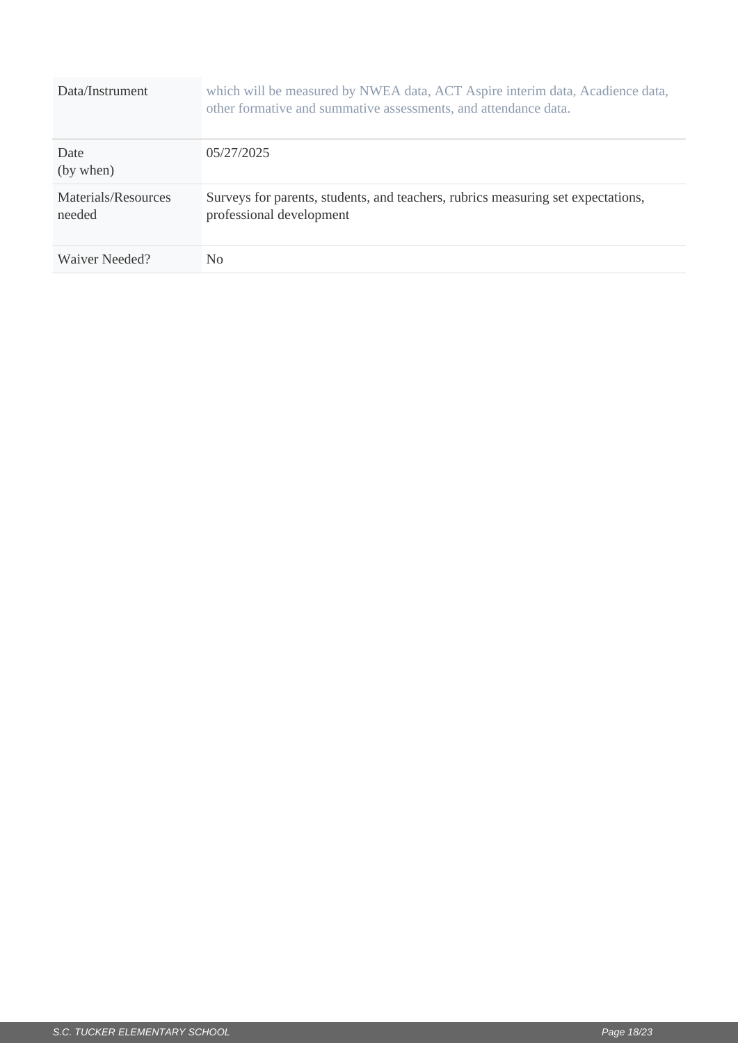| Data/Instrument               | which will be measured by NWEA data, ACT Aspire interim data, Acadience data,<br>other formative and summative assessments, and attendance data. |
|-------------------------------|--------------------------------------------------------------------------------------------------------------------------------------------------|
| Date<br>(by when)             | 05/27/2025                                                                                                                                       |
| Materials/Resources<br>needed | Surveys for parents, students, and teachers, rubrics measuring set expectations,<br>professional development                                     |
| Waiver Needed?                | N <sub>0</sub>                                                                                                                                   |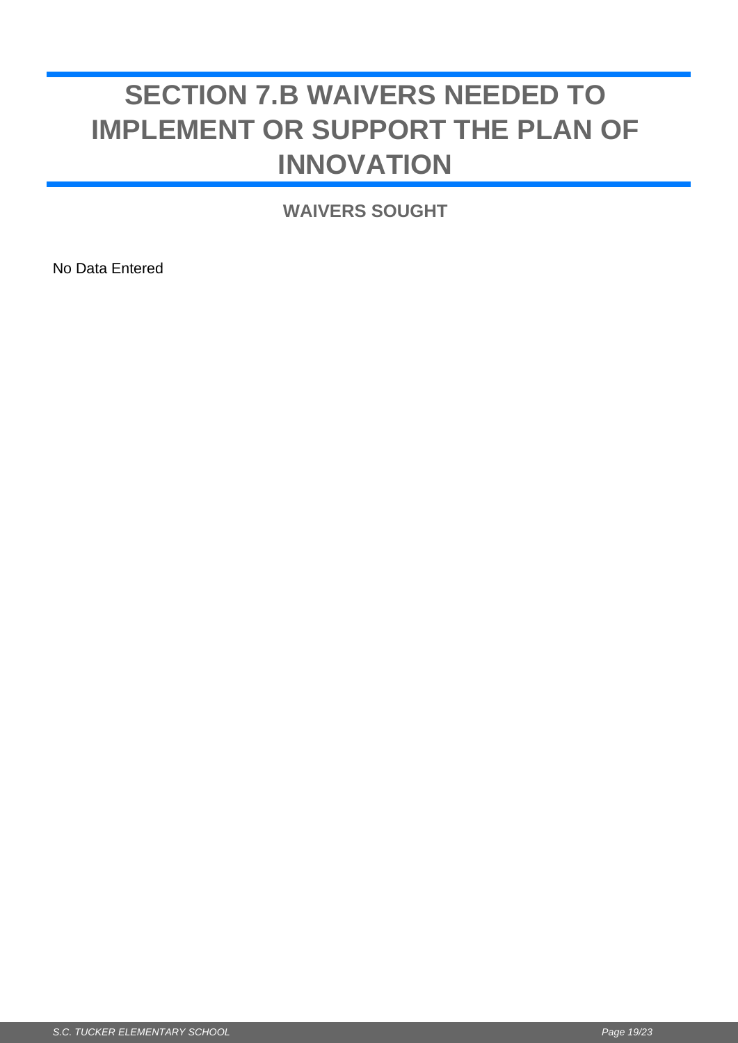## <span id="page-18-0"></span>**SECTION 7.B WAIVERS NEEDED TO IMPLEMENT OR SUPPORT THE PLAN OF INNOVATION**

**WAIVERS SOUGHT**

No Data Entered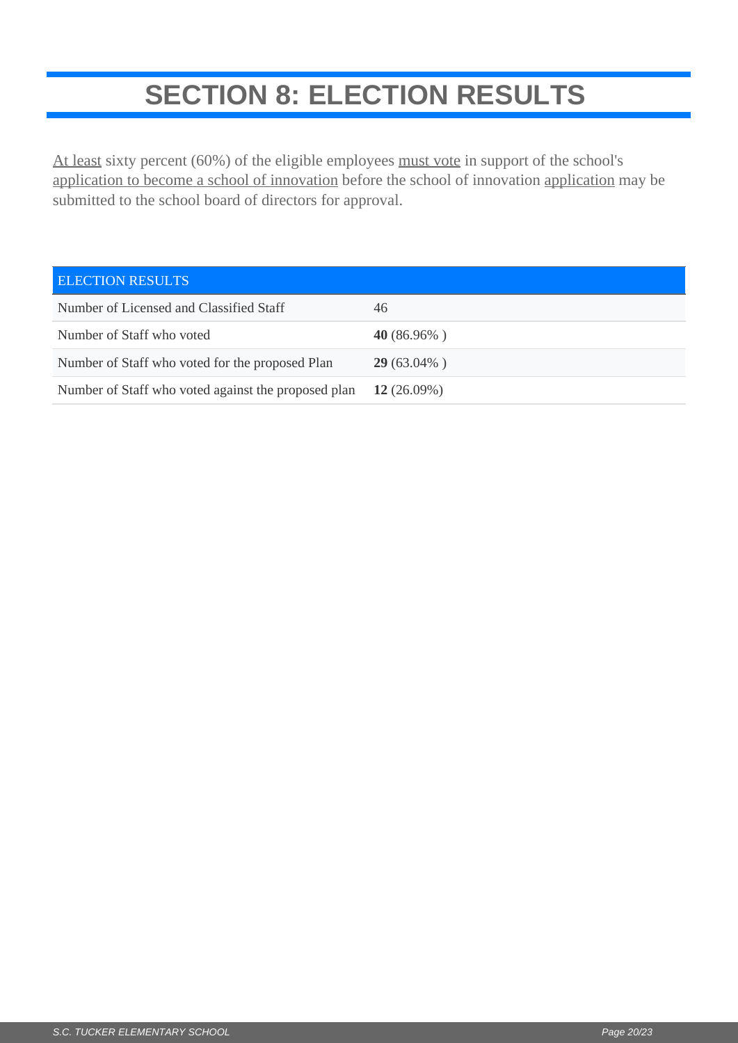## **SECTION 8: ELECTION RESULTS**

<span id="page-19-0"></span>At least sixty percent (60%) of the eligible employees must vote in support of the school's application to become a school of innovation before the school of innovation application may be submitted to the school board of directors for approval.

| <b>ELECTION RESULTS</b>                             |                |
|-----------------------------------------------------|----------------|
| Number of Licensed and Classified Staff             | 46             |
| Number of Staff who voted                           | 40 $(86.96\%)$ |
| Number of Staff who voted for the proposed Plan     | $29(63.04\%)$  |
| Number of Staff who voted against the proposed plan | 12 $(26.09\%)$ |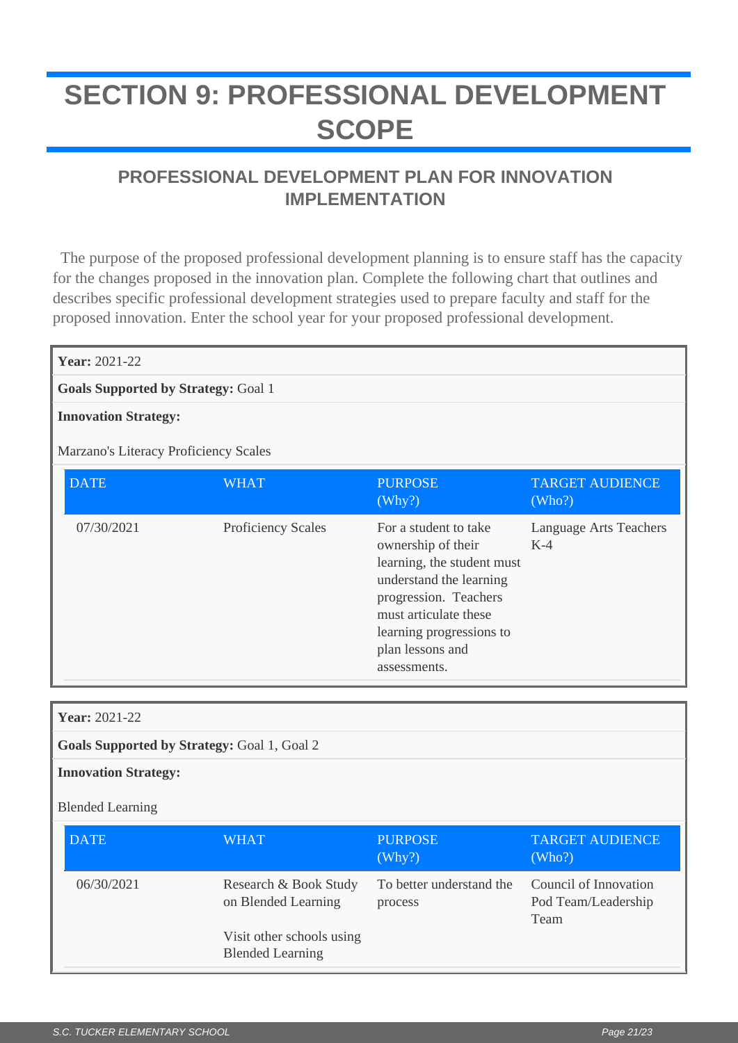## <span id="page-20-0"></span>**SECTION 9: PROFESSIONAL DEVELOPMENT SCOPE**

### **PROFESSIONAL DEVELOPMENT PLAN FOR INNOVATION IMPLEMENTATION**

 The purpose of the proposed professional development planning is to ensure staff has the capacity for the changes proposed in the innovation plan. Complete the following chart that outlines and describes specific professional development strategies used to prepare faculty and staff for the proposed innovation. Enter the school year for your proposed professional development.

| <b>Year: 2021-22</b>                  |                                            |                                                                                                                                                                                                                        |                                  |  |
|---------------------------------------|--------------------------------------------|------------------------------------------------------------------------------------------------------------------------------------------------------------------------------------------------------------------------|----------------------------------|--|
|                                       | <b>Goals Supported by Strategy: Goal 1</b> |                                                                                                                                                                                                                        |                                  |  |
| <b>Innovation Strategy:</b>           |                                            |                                                                                                                                                                                                                        |                                  |  |
| Marzano's Literacy Proficiency Scales |                                            |                                                                                                                                                                                                                        |                                  |  |
| <b>DATE</b>                           | WHAT                                       | <b>PURPOSE</b><br>(Why?)                                                                                                                                                                                               | <b>TARGET AUDIENCE</b><br>(Who?) |  |
| 07/30/2021                            | <b>Proficiency Scales</b>                  | For a student to take<br>ownership of their<br>learning, the student must<br>understand the learning<br>progression. Teachers<br>must articulate these<br>learning progressions to<br>plan lessons and<br>assessments. | Language Arts Teachers<br>$K-4$  |  |

| <b>Year: 2021-22</b>                               |                                                      |                                     |                                                      |
|----------------------------------------------------|------------------------------------------------------|-------------------------------------|------------------------------------------------------|
| <b>Goals Supported by Strategy: Goal 1, Goal 2</b> |                                                      |                                     |                                                      |
| <b>Innovation Strategy:</b>                        |                                                      |                                     |                                                      |
| <b>Blended Learning</b>                            |                                                      |                                     |                                                      |
| <b>DATE</b>                                        | <b>WHAT</b>                                          | <b>PURPOSE</b><br>(Why?)            | <b>TARGET AUDIENCE</b><br>(Who?)                     |
| 06/30/2021                                         | Research & Book Study<br>on Blended Learning         | To better understand the<br>process | Council of Innovation<br>Pod Team/Leadership<br>Team |
|                                                    | Visit other schools using<br><b>Blended Learning</b> |                                     |                                                      |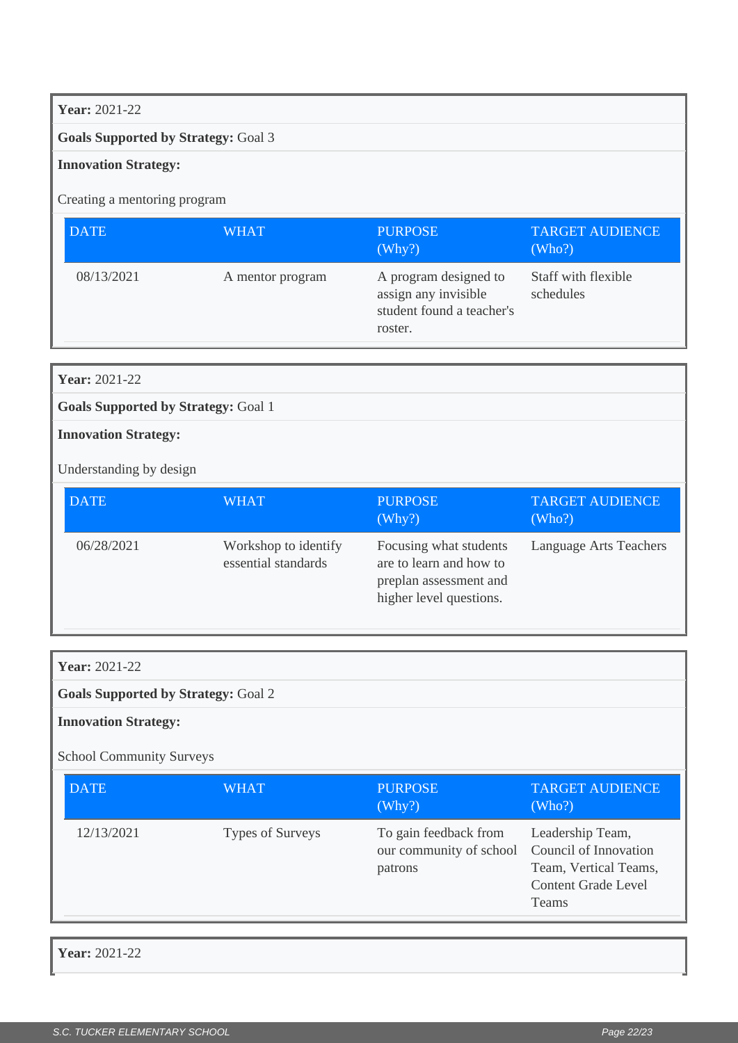#### **Year:** 2021-22

#### **Goals Supported by Strategy:** Goal 3

#### **Innovation Strategy:**

Creating a mentoring program

| <b>DATE</b> | <b>WHAT</b>      | <b>PURPOSE</b><br>(Why?)                                                              | <b>TARGET AUDIENCE</b><br>(Who?) |
|-------------|------------------|---------------------------------------------------------------------------------------|----------------------------------|
| 08/13/2021  | A mentor program | A program designed to<br>assign any invisible<br>student found a teacher's<br>roster. | Staff with flexible<br>schedules |

**Goals Supported by Strategy:** Goal 1

**Innovation Strategy:**

**Year:** 2021-22

Understanding by design

| <b>DATE</b> | <b>WHAT</b>                                 | <b>PURPOSE</b><br>(Why?)                                                                               | <b>TARGET AUDIENCE</b><br>(Who?) |
|-------------|---------------------------------------------|--------------------------------------------------------------------------------------------------------|----------------------------------|
| 06/28/2021  | Workshop to identify<br>essential standards | Focusing what students<br>are to learn and how to<br>preplan assessment and<br>higher level questions. | Language Arts Teachers           |

**Year:** 2021-22

**Goals Supported by Strategy:** Goal 2

**Innovation Strategy:**

School Community Surveys

| <b>DATE</b> | WHAT             | <b>PURPOSE</b><br>(Why?)                                                          | <b>TARGET AUDIENCE</b><br>(Who?)                                                        |
|-------------|------------------|-----------------------------------------------------------------------------------|-----------------------------------------------------------------------------------------|
| 12/13/2021  | Types of Surveys | To gain feedback from<br>our community of school Council of Innovation<br>patrons | Leadership Team,<br>Team, Vertical Teams,<br><b>Content Grade Level</b><br><b>Teams</b> |

**Year:** 2021-22